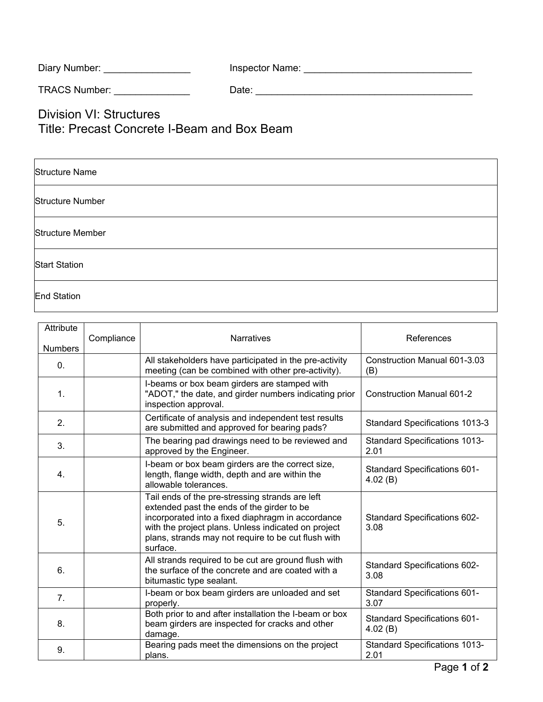| Inspector Name: |
|-----------------|
|                 |

TRACS Number: \_\_\_\_\_\_\_\_\_\_\_\_\_\_ Date: \_\_\_\_\_\_\_\_\_\_\_\_\_\_\_\_\_\_\_\_\_\_\_\_\_\_\_\_\_\_\_\_\_\_\_\_\_\_\_\_

Division VI: Structures Title: Precast Concrete I-Beam and Box Beam

| <b>Structure Name</b>   |
|-------------------------|
| Structure Number        |
| <b>Structure Member</b> |
| <b>Start Station</b>    |
| <b>End Station</b>      |

| Attribute<br><b>Numbers</b> | Compliance | <b>Narratives</b>                                                                                                                                                                                                                                                            | References                                   |
|-----------------------------|------------|------------------------------------------------------------------------------------------------------------------------------------------------------------------------------------------------------------------------------------------------------------------------------|----------------------------------------------|
| $\mathbf{0}$ .              |            | All stakeholders have participated in the pre-activity<br>meeting (can be combined with other pre-activity).                                                                                                                                                                 | Construction Manual 601-3.03<br>(B)          |
| 1.                          |            | I-beams or box beam girders are stamped with<br>"ADOT," the date, and girder numbers indicating prior<br>inspection approval.                                                                                                                                                | Construction Manual 601-2                    |
| 2.                          |            | Certificate of analysis and independent test results<br>are submitted and approved for bearing pads?                                                                                                                                                                         | <b>Standard Specifications 1013-3</b>        |
| 3.                          |            | The bearing pad drawings need to be reviewed and<br>approved by the Engineer.                                                                                                                                                                                                | <b>Standard Specifications 1013-</b><br>2.01 |
| 4.                          |            | I-beam or box beam girders are the correct size,<br>length, flange width, depth and are within the<br>allowable tolerances.                                                                                                                                                  | Standard Specifications 601-<br>4.02(B)      |
| 5.                          |            | Tail ends of the pre-stressing strands are left<br>extended past the ends of the girder to be<br>incorporated into a fixed diaphragm in accordance<br>with the project plans. Unless indicated on project<br>plans, strands may not require to be cut flush with<br>surface. | Standard Specifications 602-<br>3.08         |
| 6.                          |            | All strands required to be cut are ground flush with<br>the surface of the concrete and are coated with a<br>bitumastic type sealant.                                                                                                                                        | Standard Specifications 602-<br>3.08         |
| 7 <sub>1</sub>              |            | I-beam or box beam girders are unloaded and set<br>properly.                                                                                                                                                                                                                 | <b>Standard Specifications 601-</b><br>3.07  |
| 8.                          |            | Both prior to and after installation the I-beam or box<br>beam girders are inspected for cracks and other<br>damage.                                                                                                                                                         | Standard Specifications 601-<br>4.02(B)      |
| 9.                          |            | Bearing pads meet the dimensions on the project<br>plans.                                                                                                                                                                                                                    | <b>Standard Specifications 1013-</b><br>2.01 |